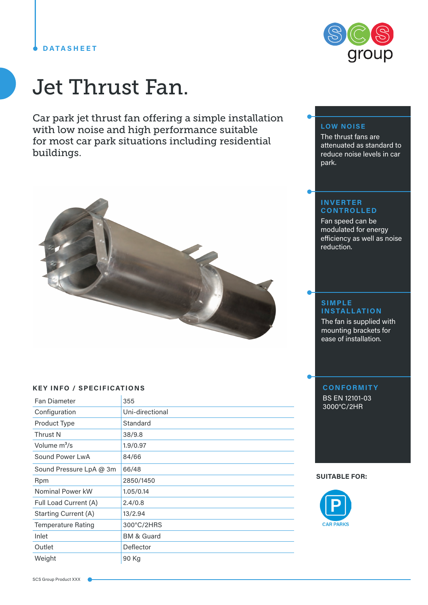## **DATASHEET**



Car park jet thrust fan offering a simple installation with low noise and high performance suitable for most car park situations including residential buildings.



### **KEY INFO / SPECIFICATIONS**

| <b>Fan Diameter</b>         | 355                   |
|-----------------------------|-----------------------|
| Configuration               | Uni-directional       |
| Product Type                | Standard              |
| Thrust N                    | 38/9.8                |
| Volume m <sup>3</sup> /s    | 1.9/0.97              |
| Sound Power LwA             | 84/66                 |
| Sound Pressure LpA @ 3m     | 66/48                 |
| <b>Rpm</b>                  | 2850/1450             |
| Nominal Power kW            | 1.05/0.14             |
| Full Load Current (A)       | 2,4/0.8               |
| <b>Starting Current (A)</b> | 13/2.94               |
| <b>Temperature Rating</b>   | 300°C/2HRS            |
| Inlet                       | <b>BM &amp; Guard</b> |
| Outlet                      | Deflector             |
| Weight                      | 90 Kg                 |



# **LOW NOISE**

The thrust fans are attenuated as standard to reduce noise levels in car park.

#### **INVERTER CONTROLLED**

Fan speed can be modulated for energy efficiency as well as noise reduction.

### **SIMPLE INSTALLATION**

The fan is supplied with mounting brackets for ease of installation.

# **CONFORMITY**

BS EN 12101-03 3000°C/2HR

#### **SUITABLE FOR:**